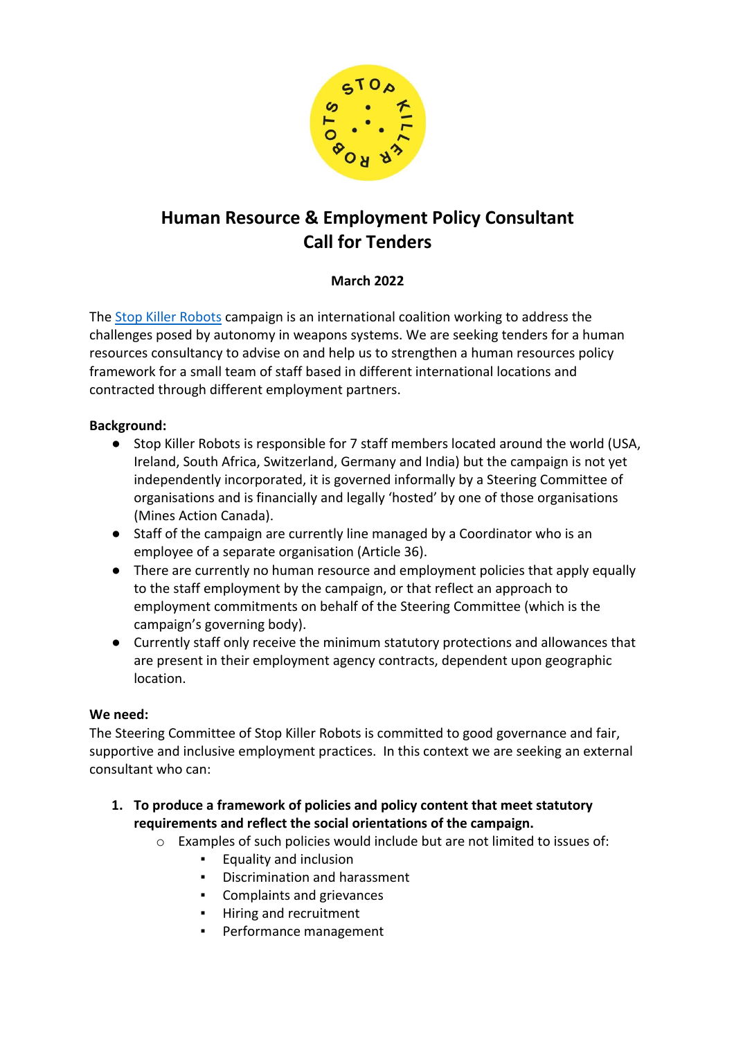

# **Human Resource & Employment Policy Consultant Call for Tenders**

# **March 2022**

The Stop Killer Robots campaign is an international coalition working to address the challenges posed by autonomy in weapons systems. We are seeking tenders for a human resources consultancy to advise on and help us to strengthen a human resources policy framework for a small team of staff based in different international locations and contracted through different employment partners.

# **Background:**

- Stop Killer Robots is responsible for 7 staff members located around the world (USA, Ireland, South Africa, Switzerland, Germany and India) but the campaign is not yet independently incorporated, it is governed informally by a Steering Committee of organisations and is financially and legally 'hosted' by one of those organisations (Mines Action Canada).
- Staff of the campaign are currently line managed by a Coordinator who is an employee of a separate organisation (Article 36).
- There are currently no human resource and employment policies that apply equally to the staff employment by the campaign, or that reflect an approach to employment commitments on behalf of the Steering Committee (which is the campaign's governing body).
- Currently staff only receive the minimum statutory protections and allowances that are present in their employment agency contracts, dependent upon geographic location.

# **We need:**

The Steering Committee of Stop Killer Robots is committed to good governance and fair, supportive and inclusive employment practices. In this context we are seeking an external consultant who can:

- **1. To produce a framework of policies and policy content that meet statutory requirements and reflect the social orientations of the campaign.**
	- o Examples of such policies would include but are not limited to issues of:
		- Equality and inclusion
		- Discrimination and harassment
		- Complaints and grievances
		- Hiring and recruitment
		- Performance management